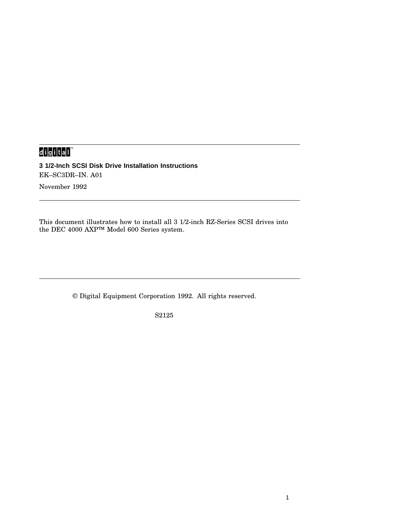## digital

**3 1/2-Inch SCSI Disk Drive Installation Instructions** EK–SC3DR–IN. A01 November 1992

This document illustrates how to install all 3 1/2-inch RZ-Series SCSI drives into the DEC 4000 AXP™ Model 600 Series system.

© Digital Equipment Corporation 1992. All rights reserved.

S2125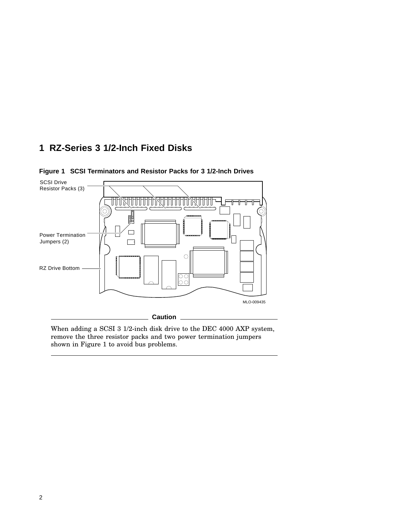## **1 RZ-Series 3 1/2-Inch Fixed Disks**



**Figure 1 SCSI Terminators and Resistor Packs for 3 1/2-Inch Drives**

When adding a SCSI 3 1/2-inch disk drive to the DEC 4000 AXP system, remove the three resistor packs and two power termination jumpers shown in Figure 1 to avoid bus problems.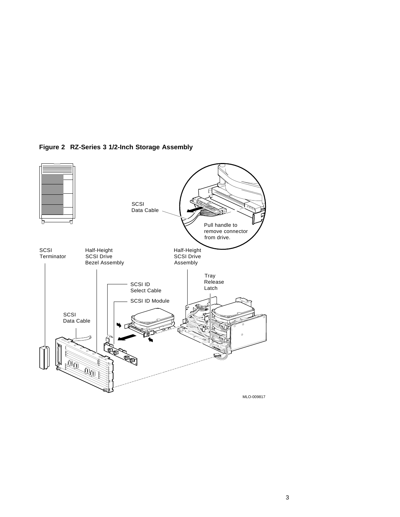

**Figure 2 RZ-Series 3 1/2-Inch Storage Assembly**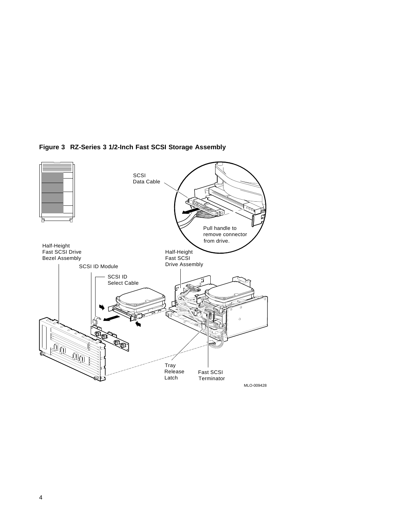

**Figure 3 RZ-Series 3 1/2-Inch Fast SCSI Storage Assembly**